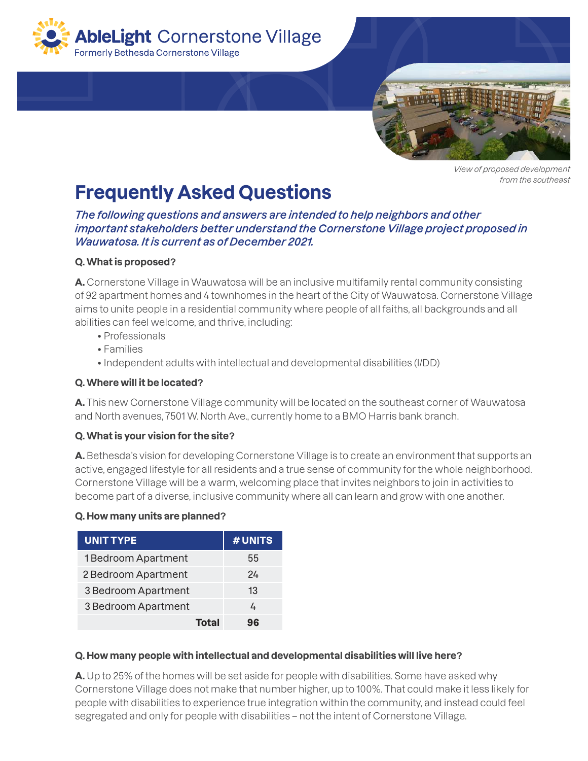



*View of proposed development from the southeast*

# **Frequently Asked Questions**

*The following questions and answers are intended to help neighbors and other important stakeholders better understand the Cornerstone Village project proposed in Wauwatosa. It is current as of December 2021.*

# **Q. What is proposed?**

**A.** Cornerstone Village in Wauwatosa will be an inclusive multifamily rental community consisting of 92 apartment homes and 4 townhomes in the heart of the City of Wauwatosa. Cornerstone Village aims to unite people in a residential community where people of all faiths, all backgrounds and all abilities can feel welcome, and thrive, including:

- Professionals
- Families
- Independent adults with intellectual and developmental disabilities (I/DD)

#### **Q. Where will it be located?**

**A.** This new Cornerstone Village community will be located on the southeast corner of Wauwatosa and North avenues, 7501 W. North Ave., currently home to a BMO Harris bank branch.

## **Q. What is your vision for the site?**

**A.** Bethesda's vision for developing Cornerstone Village is to create an environment that supports an active, engaged lifestyle for all residents and a true sense of community for the whole neighborhood. Cornerstone Village will be a warm, welcoming place that invites neighbors to join in activities to become part of a diverse, inclusive community where all can learn and grow with one another.

#### **Q. How many units are planned?**

| <b>UNIT TYPE</b>    | # UNITS |
|---------------------|---------|
| 1 Bedroom Apartment | 55      |
| 2 Bedroom Apartment | 24      |
| 3 Bedroom Apartment | 13      |
| 3 Bedroom Apartment | ᠘       |
| Total               | qς      |

#### **Q. How many people with intellectual and developmental disabilities will live here?**

**A.** Up to 25% of the homes will be set aside for people with disabilities. Some have asked why Cornerstone Village does not make that number higher, up to 100%. That could make it less likely for people with disabilities to experience true integration within the community, and instead could feel segregated and only for people with disabilities – not the intent of Cornerstone Village.